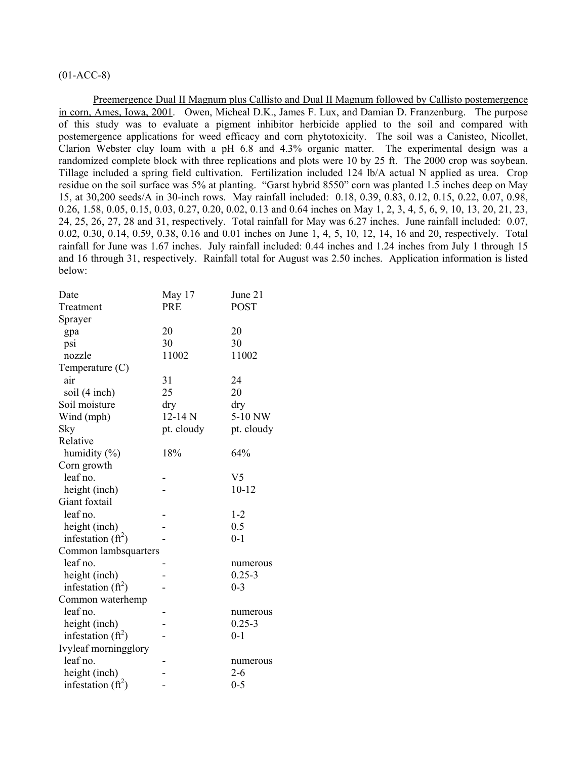# $(01-ACC-8)$

Preemergence Dual II Magnum plus Callisto and Dual II Magnum followed by Callisto postemergence in corn, Ames, Iowa, 2001. Owen, Micheal D.K., James F. Lux, and Damian D. Franzenburg. The purpose of this study was to evaluate a pigment inhibitor herbicide applied to the soil and compared with postemergence applications for weed efficacy and corn phytotoxicity. The soil was a Canisteo, Nicollet, Clarion Webster clay loam with a pH 6.8 and 4.3% organic matter. The experimental design was a randomized complete block with three replications and plots were 10 by 25 ft. The 2000 crop was soybean. Tillage included a spring field cultivation. Fertilization included 124 lb/A actual N applied as urea. Crop residue on the soil surface was 5% at planting. "Garst hybrid 8550" corn was planted 1.5 inches deep on May 15, at 30,200 seeds/A in 30-inch rows. May rainfall included: 0.18, 0.39, 0.83, 0.12, 0.15, 0.22, 0.07, 0.98, 0.26, 1.58, 0.05, 0.15, 0.03, 0.27, 0.20, 0.02, 0.13 and 0.64 inches on May 1, 2, 3, 4, 5, 6, 9, 10, 13, 20, 21, 23, 24, 25, 26, 27, 28 and 31, respectively. Total rainfall for May was 6.27 inches. June rainfall included: 0.07, 0.02, 0.30, 0.14, 0.59, 0.38, 0.16 and 0.01 inches on June 1, 4, 5, 10, 12, 14, 16 and 20, respectively. Total rainfall for June was 1.67 inches. July rainfall included: 0.44 inches and 1.24 inches from July 1 through 15 and 16 through 31, respectively. Rainfall total for August was 2.50 inches. Application information is listed below:

| Date                  | May 17      | June 21        |
|-----------------------|-------------|----------------|
| Treatment             | <b>PRE</b>  | <b>POST</b>    |
| Sprayer               |             |                |
| gpa                   | 20          | 20             |
| psi                   | 30          | 30             |
| nozzle                | 11002       | 11002          |
| Temperature $(C)$     |             |                |
| air                   | 31          | 24             |
| soil (4 inch)         | 25          | 20             |
| Soil moisture         | dry         | dry            |
| Wind (mph)            | $12 - 14 N$ | 5-10 NW        |
| Sky                   | pt. cloudy  | pt. cloudy     |
| Relative              |             |                |
| humidity $(\%)$       | 18%         | 64%            |
| Corn growth           |             |                |
| leaf no.              |             | V <sub>5</sub> |
| height (inch)         |             | $10 - 12$      |
| Giant foxtail         |             |                |
| leaf no.              |             | $1 - 2$        |
| height (inch)         |             | 0.5            |
| infestation $(f_t^2)$ |             | $0 - 1$        |
| Common lambsquarters  |             |                |
| leaf no.              |             | numerous       |
| height (inch)         |             | $0.25 - 3$     |
| infestation $(ft^2)$  |             | $0 - 3$        |
| Common waterhemp      |             |                |
| leaf no.              |             | numerous       |
| height (inch)         |             | $0.25 - 3$     |
| infestation $(f t^2)$ |             | $0 - 1$        |
| Ivyleaf morningglory  |             |                |
| leaf no.              |             | numerous       |
| height (inch)         |             | $2 - 6$        |
| infestation $(ft^2)$  |             | $0 - 5$        |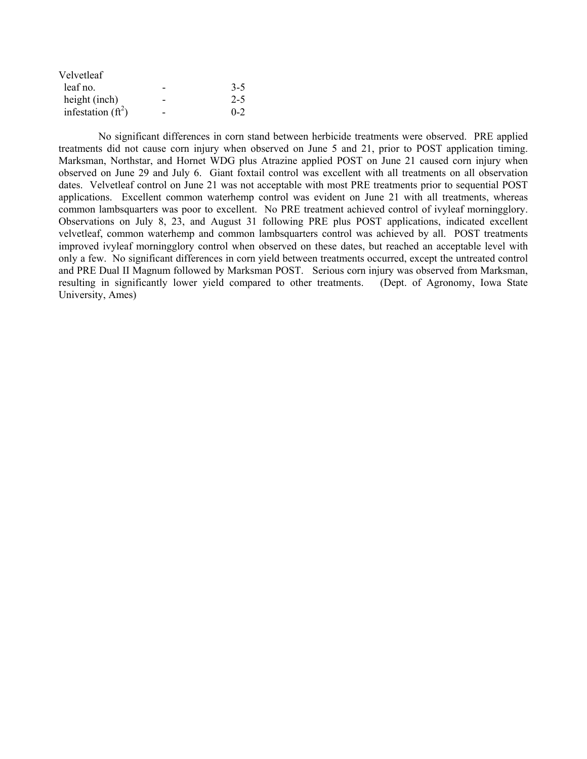| Velvetleaf           |         |
|----------------------|---------|
| leaf no.             | $3 - 5$ |
| height (inch)        | $2 - 5$ |
| infestation $(ft^2)$ | $0 - 2$ |

 No significant differences in corn stand between herbicide treatments were observed. PRE applied treatments did not cause corn injury when observed on June 5 and 21, prior to POST application timing. Marksman, Northstar, and Hornet WDG plus Atrazine applied POST on June 21 caused corn injury when observed on June 29 and July 6. Giant foxtail control was excellent with all treatments on all observation dates. Velvetleaf control on June 21 was not acceptable with most PRE treatments prior to sequential POST applications. Excellent common waterhemp control was evident on June 21 with all treatments, whereas common lambsquarters was poor to excellent. No PRE treatment achieved control of ivyleaf morningglory. Observations on July 8, 23, and August 31 following PRE plus POST applications, indicated excellent velvetleaf, common waterhemp and common lambsquarters control was achieved by all. POST treatments improved ivyleaf morningglory control when observed on these dates, but reached an acceptable level with only a few. No significant differences in corn yield between treatments occurred, except the untreated control and PRE Dual II Magnum followed by Marksman POST. Serious corn injury was observed from Marksman, resulting in significantly lower yield compared to other treatments. (Dept. of Agronomy, Iowa State University, Ames)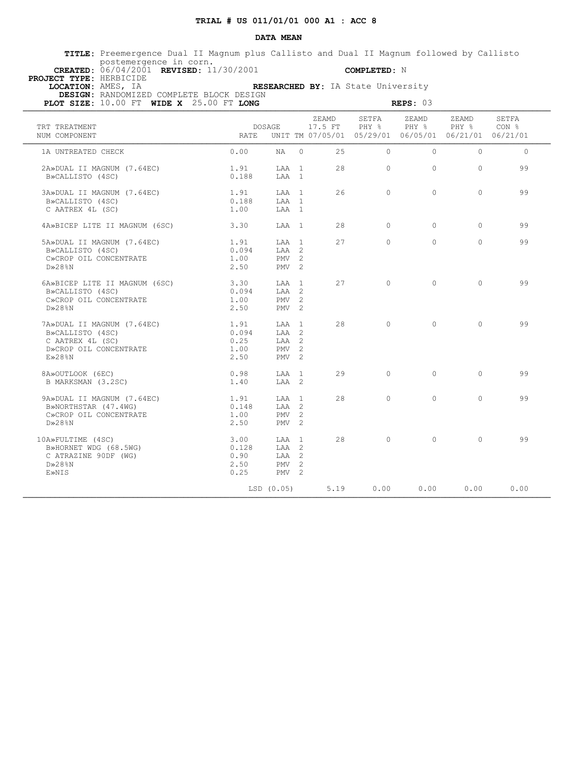**TITLE:** Preemergence Dual II Magnum plus Callisto and Dual II Magnum followed by Callisto postemergence in corn.  **CREATED:** 06/04/2001 **REVISED:** 11/30/2001 **COMPLETED:** N

 **PROJECT TYPE:** HERBICIDE

 **LOCATION:** AMES, IA **RESEARCHED BY:** IA State University

| PLOT SIZE: 10.00 FT WIDE X 25.00 FT LONG                                                                     | REPS: 03                              |                                                           |          |       |                                                                                                  |          |            |          |  |  |  |
|--------------------------------------------------------------------------------------------------------------|---------------------------------------|-----------------------------------------------------------|----------|-------|--------------------------------------------------------------------------------------------------|----------|------------|----------|--|--|--|
| TRT TREATMENT<br>NUM COMPONENT                                                                               | RATE                                  | DOSAGE                                                    |          | ZEAMD | SETFA<br>17.5 FT PHY % PHY % PHY % CON %<br>UNIT TM 07/05/01 05/29/01 06/05/01 06/21/01 06/21/01 | ZEAMD    | ZEAMD      | SETFA    |  |  |  |
| 1A UNTREATED CHECK                                                                                           | 0.00                                  | NA 1                                                      | $\Omega$ | 25    | $\bigcirc$                                                                                       | $\Omega$ | $\cap$     | $\Omega$ |  |  |  |
| 2A»DUAL II MAGNUM (7.64EC)<br>B»CALLISTO (4SC)                                                               | 1.91<br>0.188                         | LAA 1<br>LAA 1                                            |          | 2.8   | $\Omega$                                                                                         | $\Omega$ | $\Omega$   | 99       |  |  |  |
| 3A»DUAL II MAGNUM (7.64EC)<br>B»CALLISTO (4SC)<br>C AATREX 4L (SC)                                           | 1.91<br>0.188<br>1.00                 | LAA 1<br>LAA 1<br>LAA 1                                   |          | 26    | $\Omega$                                                                                         | $\Omega$ | $\Omega$   | 99       |  |  |  |
| 4A»BICEP LITE II MAGNUM (6SC)                                                                                | 3.30                                  | LAA 1                                                     |          | 28    | $\Omega$                                                                                         | $\Omega$ | $\circ$    | 99       |  |  |  |
| 5A»DUAL II MAGNUM (7.64EC)<br>B»CALLISTO (4SC)<br>C»CROP OIL CONCENTRATE<br>$D \gg 28$ %N                    | 1.91<br>0.094<br>1.00<br>2.50         | $T.AA$ 1<br>LAA 2<br>PMV <sub>2</sub><br>PMV <sub>2</sub> |          | 2.7   | $\Omega$                                                                                         | $\Omega$ | $\Omega$   | 99       |  |  |  |
| 6A»BICEP LITE II MAGNUM (6SC)<br>B»CALLISTO (4SC)<br>C»CROP OIL CONCENTRATE<br>$D \gg 28$ %N                 | 3.30<br>0.094<br>1.00<br>2.50         | LAA 1<br>LAA 2<br>PMV <sub>2</sub><br>$PMV$ 2             |          | 27    | $\cap$                                                                                           | $\Omega$ | $\cap$     | 99       |  |  |  |
| 7A»DUAL II MAGNUM (7.64EC)<br>B»CALLISTO (4SC)<br>C AATREX 4L (SC)<br>D»CROP OIL CONCENTRATE<br>$E\gg 28$ %N | 1.91<br>0.094<br>0.25<br>1.00<br>2.50 | LAA 1<br>LAA 2<br>LAA 2<br>PMV <sub>2</sub><br>$PMV$ 2    |          | 28    | $\circ$                                                                                          | $\circ$  | $\circ$    | 99       |  |  |  |
| 8A»OUTLOOK (6EC)<br>B MARKSMAN (3.2SC)                                                                       | 0.98<br>1.40                          | LAA 1<br>LAA 2                                            |          | 29    | $\Omega$                                                                                         | $\Omega$ | $\bigcirc$ | 99       |  |  |  |
| 9A»DUAL II MAGNUM (7.64EC)<br>B»NORTHSTAR (47.4WG)<br>C»CROP OIL CONCENTRATE<br>$D \gg 28$ %N                | 1.91<br>0.148<br>1.00<br>2.50         | LAA 1<br>LAA 2<br>PMV <sub>2</sub><br>$PMV = 2$           |          | 28    | $\bigcirc$                                                                                       | $\Omega$ | $\Omega$   | 99       |  |  |  |
| 10A»FULTIME (4SC)<br>B»HORNET WDG (68.5WG)<br>C ATRAZINE 90DF (WG)<br>$D\gg 28\% N$<br>E»NIS                 | 3.00<br>0.128<br>0.90<br>2.50<br>0.25 | LAA 1<br>LAA 2<br>LAA 2<br>$PMV$ 2<br>PMV <sub>2</sub>    |          | 28    | $\bigcap$                                                                                        | $\Omega$ | $\Omega$   | 99       |  |  |  |
|                                                                                                              |                                       | LSD (0.05)                                                |          | 5.19  | 0.00                                                                                             | 0.00     | 0.00       | 0.00     |  |  |  |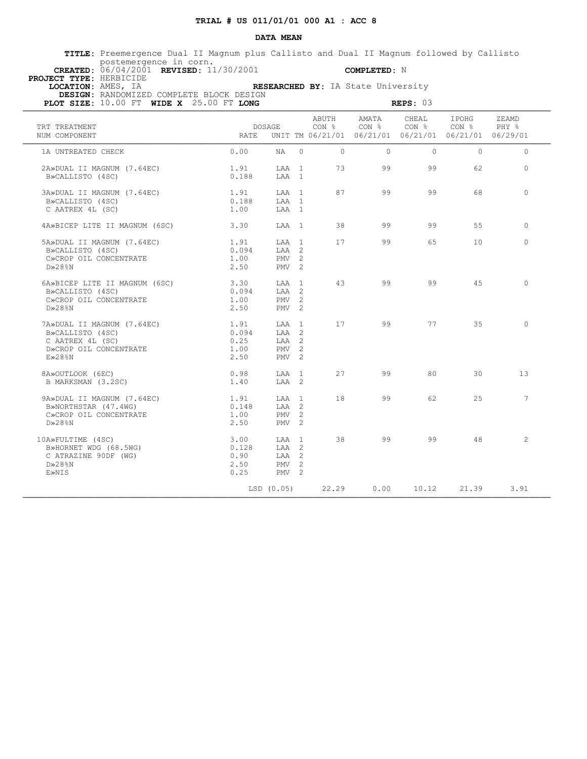**TITLE:** Preemergence Dual II Magnum plus Callisto and Dual II Magnum followed by Callisto postemergence in corn.  **CREATED:** 06/04/2001 **REVISED:** 11/30/2001 **COMPLETED:** N

 **PROJECT TYPE:** HERBICIDE

 **LOCATION:** AMES, IA **RESEARCHED BY:** IA State University

| PLOT SIZE: 10.00 FT WIDE X 25.00 FT LONG                                                                      |                                       |                                                                   | REPS: 03 |                    |                                                                                                                         |          |                |             |  |
|---------------------------------------------------------------------------------------------------------------|---------------------------------------|-------------------------------------------------------------------|----------|--------------------|-------------------------------------------------------------------------------------------------------------------------|----------|----------------|-------------|--|
| TRT TREATMENT<br>NUM COMPONENT                                                                                |                                       | DOSAGE                                                            |          | ABUTH              | AMATA<br>$CON$ $%$ $CON$ $%$ $CON$ $%$ $CON$ $%$ $PHY$ $%$<br>RATE UNIT TM 06/21/01 06/21/01 06/21/01 06/21/01 06/29/01 | CHEAL    | IPOHG          | ZEAMD       |  |
| 1A UNTREATED CHECK                                                                                            | 0.00                                  |                                                                   |          | $NA$ 0<br>$\Omega$ | $\Omega$                                                                                                                | $\Omega$ | $\Omega$       | $\Omega$    |  |
| 2A»DUAL II MAGNUM (7.64EC)<br>B»CALLISTO (4SC)                                                                | 1.91<br>0.188                         | LAA 1<br>LAA 1                                                    |          | 73                 |                                                                                                                         | 99 — 10  | 99 - 10<br>62. | $\Omega$    |  |
| 3A»DUAL II MAGNUM (7.64EC)<br>B»CALLISTO (4SC)<br>C AATREX 4L (SC)                                            | 1.91<br>0.188<br>1.00                 | LAA 1<br>LAA 1<br>LAA 1                                           |          | 87                 | 99                                                                                                                      | 99       | 68             | $\Omega$    |  |
| 4A»BICEP LITE II MAGNUM (6SC)                                                                                 | 3.30                                  | LAA 1                                                             |          | 38                 | 99                                                                                                                      | 99       | 55             | $\circ$     |  |
| 5A»DUAL II MAGNUM (7.64EC)<br>B»CALLISTO (4SC)<br>C»CROP OIL CONCENTRATE<br>$D \gg 28$ %N                     | 1.91<br>0.094<br>1.00<br>2.50         | LAA 1<br>LAA 2<br>$PMV$ 2<br>PMV <sub>2</sub>                     |          | 17                 | 99                                                                                                                      | 65       | 10             | $\Omega$    |  |
| 6A»BICEP LITE II MAGNUM (6SC)<br>B»CALLISTO (4SC)<br>C»CROP OIL CONCENTRATE<br>$D \gg 28$ %N                  | 3.30<br>0.094<br>1.00<br>2.50         | LAA 1<br>LAA 2<br>PMV <sub>2</sub><br>PMV <sub>2</sub>            |          | 43                 | 99                                                                                                                      | 99       | 4.5            | $\bigcirc$  |  |
| 7A»DUAL II MAGNUM (7.64EC)<br>B»CALLISTO (4SC)<br>C AATREX 4L (SC)<br>D»CROP OIL CONCENTRATE<br>$E\gg 28\%$ N | 1.91<br>0.094<br>0.25<br>1.00<br>2.50 | LAA 1<br>LAA 2<br>$TAA$ 2<br>PMV <sub>2</sub><br>PMV <sub>2</sub> |          | 17                 | 99                                                                                                                      | 77       | 35             | $\circ$     |  |
| 8A»OUTLOOK (6EC)<br>B MARKSMAN (3.2SC)                                                                        | 0.98<br>1.40                          | LAA 1<br>LAA 2                                                    |          | 27                 | 99                                                                                                                      | 80       | 30             | 13          |  |
| 9A»DUAL II MAGNUM (7.64EC)<br>B»NORTHSTAR (47.4WG)<br>C»CROP OIL CONCENTRATE<br>$D\gg 28$ <sup>8</sup> N      | 1.91<br>0.148<br>1.00<br>2.50         | LAA 1<br>LAA 2<br>PMV <sub>2</sub><br>PMV <sub>2</sub>            |          | 18                 | 99                                                                                                                      | 62       | 25             | $7^{\circ}$ |  |
| 10A»FULTIME (4SC)<br>B»HORNET WDG (68.5WG)<br>C ATRAZINE 90DF (WG)<br>$D \gg 28$ %N<br>E»NIS                  | 3.00<br>0.128<br>0.90<br>2.50<br>0.25 | LAA 1<br>LAA 2<br>LAA 2<br>PMV <sub>2</sub><br>PMV <sub>2</sub>   |          | 38                 | 99                                                                                                                      | 99       | 48             | $2^{1}$     |  |
|                                                                                                               |                                       | LSD (0.05)                                                        |          | 22.29              | 0.00                                                                                                                    | 10.12    | 21.39          | 3.91        |  |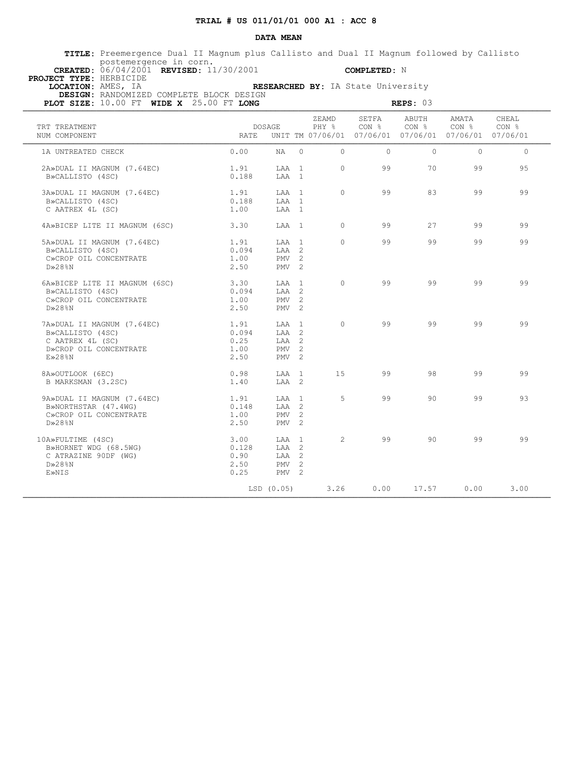**TITLE:** Preemergence Dual II Magnum plus Callisto and Dual II Magnum followed by Callisto postemergence in corn.  **CREATED:** 06/04/2001 **REVISED:** 11/30/2001 **COMPLETED:** N

 **PROJECT TYPE:** HERBICIDE

 **LOCATION:** AMES, IA **RESEARCHED BY:** IA State University

| PLOT SIZE: 10.00 FT WIDE X 25.00 FT LONG                                                                     |                                       | REPS: 03                                                           |          |                |                                                                        |                           |                |                |  |
|--------------------------------------------------------------------------------------------------------------|---------------------------------------|--------------------------------------------------------------------|----------|----------------|------------------------------------------------------------------------|---------------------------|----------------|----------------|--|
| TRT TREATMENT<br>NUM COMPONENT                                                                               | <b>RATE</b>                           | DOSAGE                                                             |          | ZEAMD<br>PHY % | SETFA<br>CON %<br>UNIT TM 07/06/01 07/06/01 07/06/01 07/06/01 07/06/01 | ABUTH<br>CON <sub>8</sub> | AMATA<br>CON % | CHEAL<br>CON % |  |
| 1A UNTREATED CHECK                                                                                           | 0.00                                  | NA                                                                 | $\Omega$ | $\Omega$       | $\Omega$                                                               | $\Omega$                  | $\Omega$       | $\Omega$       |  |
| 2A»DUAL II MAGNUM (7.64EC)<br>B»CALLISTO (4SC)                                                               | 1.91<br>0.188                         | LAA 1<br>LAA 1                                                     |          | $\Omega$       | 99                                                                     | 70                        | 99             | 9.5            |  |
| 3A»DUAL II MAGNUM (7.64EC)<br>B»CALLISTO (4SC)<br>C AATREX 4L (SC)                                           | 1.91<br>0.188<br>1.00                 | LAA 1<br>LAA 1<br>LAA 1                                            |          | $\Omega$       | 99                                                                     | 83                        | 99             | 99             |  |
| 4A»BICEP LITE II MAGNUM (6SC)                                                                                | 3.30                                  | LAA 1                                                              |          | $\Omega$       | 99                                                                     | 27                        | 99             | 99             |  |
| 5A»DUAL II MAGNUM (7.64EC)<br>B»CALLISTO (4SC)<br>C»CROP OIL CONCENTRATE<br>$D*28$ <sup>8</sup> N            | 1.91<br>0.094<br>1.00<br>2.50         | LAA 1<br>$TAA$ 2<br>PMV <sub>2</sub><br>PMV <sub>2</sub>           |          | $\Omega$       | 99                                                                     | 99                        | 99             | 99             |  |
| 6A»BICEP LITE II MAGNUM (6SC)<br>B»CALLISTO (4SC)<br>C»CROP OIL CONCENTRATE<br>$D \gg 28$ %N                 | 3.30<br>0.094<br>1.00<br>2.50         | LAA 1<br>LAA 2<br>PMV <sub>2</sub><br>PMV <sub>2</sub>             |          | $\Omega$       | 99                                                                     | 99                        | 99             | 99             |  |
| 7A»DUAL II MAGNUM (7.64EC)<br>B»CALLISTO (4SC)<br>C AATREX 4L (SC)<br>D»CROP OIL CONCENTRATE<br>$E\gg 28$ %N | 1.91<br>0.094<br>0.25<br>1.00<br>2.50 | T.AA 1<br>LAA 2<br>LAA 2<br>PMV <sub>2</sub><br>PMV <sub>2</sub>   |          | $\Omega$       | 99                                                                     | 99                        | 99             | 99             |  |
| 8A»OUTLOOK (6EC)<br>B MARKSMAN (3.2SC)                                                                       | 0.98<br>1.40                          | T.AA 1<br>LAA 2                                                    |          | 15             | 99                                                                     | 98                        | 99             | 99             |  |
| 9A»DUAL II MAGNUM (7.64EC)<br>B»NORTHSTAR (47.4WG)<br>C»CROP OIL CONCENTRATE<br>$D \gg 28$ %N                | 1.91<br>0.148<br>1.00<br>2.50         | LAA 1<br>LAA 2<br>PMV <sub>2</sub><br>PMV <sub>2</sub>             |          | 5              | 99                                                                     | 90                        | 99             | 93             |  |
| 10A»FULTIME (4SC)<br>B»HORNET WDG (68.5WG)<br>C ATRAZINE 90DF (WG)<br>$D \gg 28$ %N<br>E»NIS                 | 3.00<br>0.128<br>0.90<br>2.50<br>0.25 | T.AA 1<br>LAA 2<br>LAA <sub>2</sub><br>PMV <sub>2</sub><br>$PMV$ 2 |          | 2              | 99                                                                     | 90                        | 99             | 99             |  |
|                                                                                                              |                                       | LSD (0.05)                                                         |          | 3.26           | 0.00                                                                   | 17.57                     | 0.00           | 3.00           |  |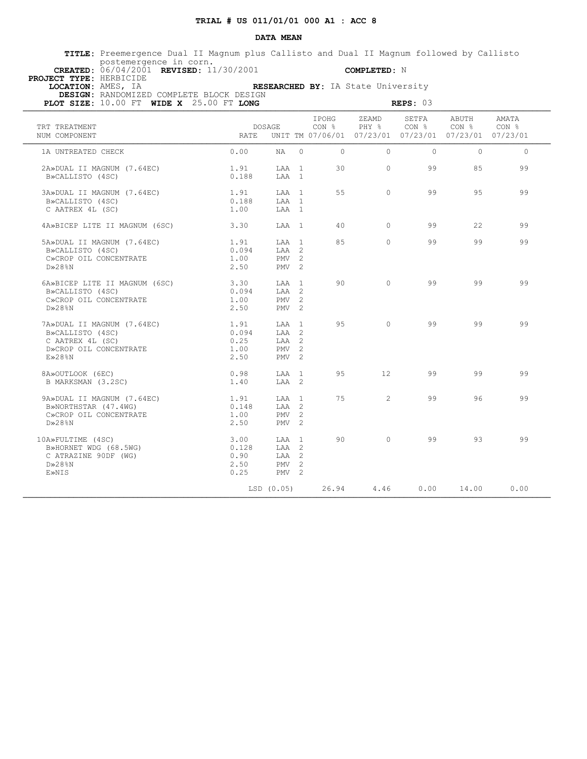**TITLE:** Preemergence Dual II Magnum plus Callisto and Dual II Magnum followed by Callisto postemergence in corn.

 **PROJECT TYPE:** HERBICIDE

 **CREATED:** 06/04/2001 **REVISED:** 11/30/2001 **COMPLETED:** N

 **LOCATION:** AMES, IA **RESEARCHED BY:** IA State University  **DESIGN:** RANDOMIZED COMPLETE BLOCK DESIGN

| PLOT SIZE: 10.00 FT WIDE X 25.00 FT LONG                                                                     | REPS: $03$                            |                                                                             |  |                |                                                                        |                           |                           |                |  |
|--------------------------------------------------------------------------------------------------------------|---------------------------------------|-----------------------------------------------------------------------------|--|----------------|------------------------------------------------------------------------|---------------------------|---------------------------|----------------|--|
| TRT TREATMENT<br>NUM COMPONENT                                                                               | <b>RATE</b>                           | DOSAGE                                                                      |  | IPOHG<br>CON % | ZEAMD<br>PHY 응<br>UNIT TM 07/06/01 07/23/01 07/23/01 07/23/01 07/23/01 | SETFA<br>CON <sub>8</sub> | ABUTH<br>CON <sub>8</sub> | AMATA<br>CON % |  |
| 1A UNTREATED CHECK                                                                                           | 0.00                                  | NA 0                                                                        |  | $\Omega$       | $\bigcirc$                                                             | $\Omega$                  | $\Omega$                  | $\Omega$       |  |
| 2A»DUAL II MAGNUM (7.64EC)<br>B»CALLISTO (4SC)                                                               | 1.91<br>0.188                         | LAA 1<br>LAA 1                                                              |  | 30             | $\Omega$                                                               | 99                        | 8.5                       | 99             |  |
| 3A»DUAL II MAGNUM (7.64EC)<br>B»CALLISTO (4SC)<br>C AATREX 4L (SC)                                           | 1.91<br>0.188<br>1.00                 | LAA 1<br>LAA 1<br>LAA 1                                                     |  | 55             | $\Omega$                                                               | 99                        | 95                        | 99             |  |
| 4A»BICEP LITE II MAGNUM (6SC)                                                                                | 3.30                                  | LAA 1                                                                       |  | 40             | $\Omega$                                                               | 99                        | 22                        | 99             |  |
| 5A»DUAL II MAGNUM (7.64EC)<br>B»CALLISTO (4SC)<br>C»CROP OIL CONCENTRATE<br>$D \gg 28$ %N                    | 1.91<br>0.094<br>1.00<br>2.50         | LAA 1<br>$TAA$ 2<br>PMV <sub>2</sub><br>PMV <sub>2</sub>                    |  | 85             | $\bigcap$                                                              | 99                        | 99                        | 99             |  |
| 6A»BICEP LITE II MAGNUM (6SC)<br>B»CALLISTO (4SC)<br>C»CROP OIL CONCENTRATE<br>$D\gg 2.8$ $R$ N              | 3.30<br>0.094<br>1.00<br>2.50         | LAA 1<br>LAA 2<br>PMV <sub>2</sub><br>PMV <sub>2</sub>                      |  | 90             | $\Omega$                                                               | 99                        | 99                        | 99             |  |
| 7A»DUAL II MAGNUM (7.64EC)<br>B»CALLISTO (4SC)<br>C AATREX 4L (SC)<br>D»CROP OIL CONCENTRATE<br>$E\gg 28$ %N | 1.91<br>0.094<br>0.25<br>1.00<br>2.50 | $T.A.A$ 1<br>LAA 2<br>LAA 2<br>PMV <sub>2</sub><br>PMV <sub>2</sub>         |  | 9.5            | $\bigcap$                                                              | 99                        | 99                        | 99             |  |
| 8A»OUTLOOK (6EC)<br>B MARKSMAN (3.2SC)                                                                       | 0.98<br>1.40                          | T.AA 1<br>LAA 2                                                             |  | 95             | 12 <sup>°</sup>                                                        | 99                        | 99                        | 99             |  |
| 9A»DUAL II MAGNUM (7.64EC)<br>B»NORTHSTAR (47.4WG)<br>C»CROP OIL CONCENTRATE<br>$D \gg 28$ %N                | 1.91<br>0.148<br>1.00<br>2.50         | LAA 1<br>LAA 2<br>PMV <sub>2</sub><br>PMV <sub>2</sub>                      |  | 75             | $2^{1}$                                                                | 99                        | 96                        | 99             |  |
| 10A»FULTIME (4SC)<br>B»HORNET WDG (68.5WG)<br>C ATRAZINE 90DF (WG)<br>$D \gg 28$ %N<br>E»NIS                 | 3.00<br>0.128<br>0.90<br>2.50<br>0.25 | T.AA 1<br>LAA 2<br>LAA <sub>2</sub><br>PMV <sub>2</sub><br>PMV <sub>2</sub> |  | 90             | $\bigcap$                                                              | 99                        | 93                        | 99             |  |
|                                                                                                              |                                       | LSD (0.05)                                                                  |  | 26.94          | 4.46                                                                   | 0.00                      | 14.00                     | 0.00           |  |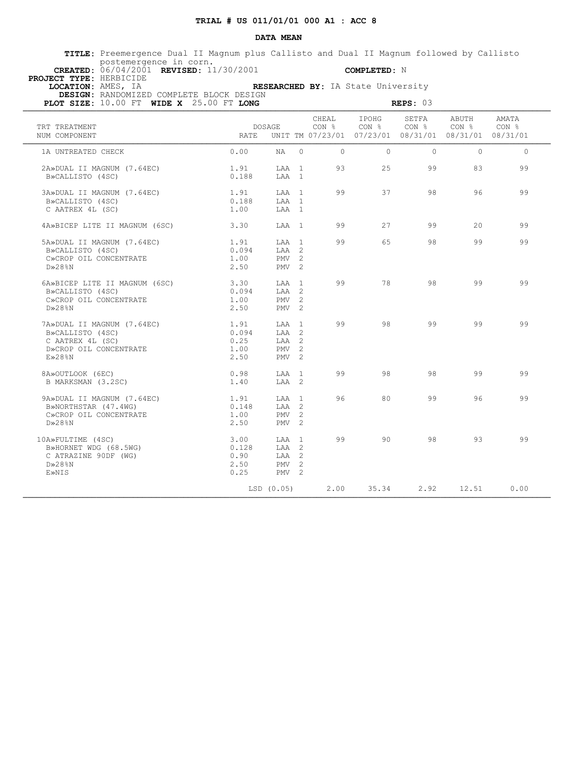**TITLE:** Preemergence Dual II Magnum plus Callisto and Dual II Magnum followed by Callisto postemergence in corn.  **CREATED:** 06/04/2001 **REVISED:** 11/30/2001 **COMPLETED:** N

 **PROJECT TYPE:** HERBICIDE

 **LOCATION:** AMES, IA **RESEARCHED BY:** IA State University

| PLOT SIZE: 10.00 FT WIDE X 25.00 FT LONG                                                                     |                                       | REPS: 03                                               |  |                    |                                                                                                                              |          |               |          |  |  |  |  |
|--------------------------------------------------------------------------------------------------------------|---------------------------------------|--------------------------------------------------------|--|--------------------|------------------------------------------------------------------------------------------------------------------------------|----------|---------------|----------|--|--|--|--|
| TRT TREATMENT<br>NUM COMPONENT                                                                               | RATE                                  | DOSAGE                                                 |  | CHEAL              | IPOHG<br>$CON$ $%$ $CON$ $%$ $CON$ $%$ $CON$ $%$ $CON$ $%$ $CON$ $%$<br>UNIT TM 07/23/01 07/23/01 08/31/01 08/31/01 08/31/01 | SETFA    | ABUTH         | AMATA    |  |  |  |  |
| 1A UNTREATED CHECK                                                                                           | 0.00                                  |                                                        |  | $NA$ 0<br>$\Omega$ | $\cap$                                                                                                                       | $\Omega$ | $\bigcap$     | $\Omega$ |  |  |  |  |
| 2A»DUAL II MAGNUM (7.64EC)<br>B»CALLISTO (4SC)                                                               | 1.91<br>0.188                         | LAA 1<br>LAA 1                                         |  | 93                 |                                                                                                                              | $25 -$   | 99 - 10<br>83 | 99       |  |  |  |  |
| 3A»DUAL II MAGNUM (7.64EC)<br>B»CALLISTO (4SC)<br>C AATREX 4L (SC)                                           | 1.91<br>0.188<br>1.00                 | LAA 1<br>LAA 1<br>LAA 1                                |  | 99                 | 37                                                                                                                           | 98       | 96            | 99       |  |  |  |  |
| 4A»BICEP LITE II MAGNUM (6SC)                                                                                | 3.30                                  | LAA 1                                                  |  | 99                 | 27                                                                                                                           | 99       | 20            | 99       |  |  |  |  |
| 5A»DUAL II MAGNUM (7.64EC)<br>B»CALLISTO (4SC)<br>C»CROP OIL CONCENTRATE<br>$D\gg 28$ %N                     | 1.91<br>0.094<br>1.00<br>2.50         | $T.AA$ 1<br>LAA 2<br>PMV <sub>2</sub><br>$PMV$ 2       |  | 99                 | 65                                                                                                                           | 98       | 99            | 99       |  |  |  |  |
| 6A»BICEP LITE II MAGNUM (6SC)<br>B»CALLISTO (4SC)<br>C»CROP OIL CONCENTRATE<br>$D \gg 28$ %N                 | 3.30<br>0.094<br>1.00<br>2.50         | LAA 1<br>LAA 2<br>PMV <sub>2</sub><br>PMV <sub>2</sub> |  | 99                 | 78                                                                                                                           | 98       | 99            | 99       |  |  |  |  |
| 7A»DUAL II MAGNUM (7.64EC)<br>B»CALLISTO (4SC)<br>C AATREX 4L (SC)<br>D»CROP OIL CONCENTRATE<br>$E\gg 28$ %N | 1.91<br>0.094<br>0.25<br>1.00<br>2.50 | LAA 1<br>LAA 2<br>LAA 2<br>$PMV$ 2<br>PMV <sub>2</sub> |  | 99                 | 98                                                                                                                           | 99       | 99            | 99       |  |  |  |  |
| 8A»OUTLOOK (6EC)<br>B MARKSMAN (3.2SC)                                                                       | 0.98<br>1.40                          | LAA 1<br>LAA 2                                         |  | 99                 | 98                                                                                                                           | 98       | 99            | 99       |  |  |  |  |
| 9A»DUAL II MAGNUM (7.64EC)<br>B»NORTHSTAR (47.4WG)<br>C»CROP OIL CONCENTRATE<br>$D \gg 28$ %N                | 1.91<br>0.148<br>1.00<br>2.50         | LAA 1<br>LAA 2<br>$PMV$ 2<br>$PMV = 2$                 |  | 96                 | 80                                                                                                                           | 99       | 96            | 99       |  |  |  |  |
| 10A»FULTIME (4SC)<br>B»HORNET WDG (68.5WG)<br>C ATRAZINE 90DF (WG)<br>$D\gg 28\%N$<br>E»NIS                  | 3.00<br>0.128<br>0.90<br>2.50<br>0.25 | LAA 1<br>LAA 2<br>LAA 2<br>$PMV$ 2<br>PMV <sub>2</sub> |  | 99                 | 90                                                                                                                           | 98       | 93            | 99       |  |  |  |  |
|                                                                                                              |                                       | LSD (0.05)                                             |  | 2.00               | 35.34                                                                                                                        | 2.92     | 12.51         | 0.00     |  |  |  |  |